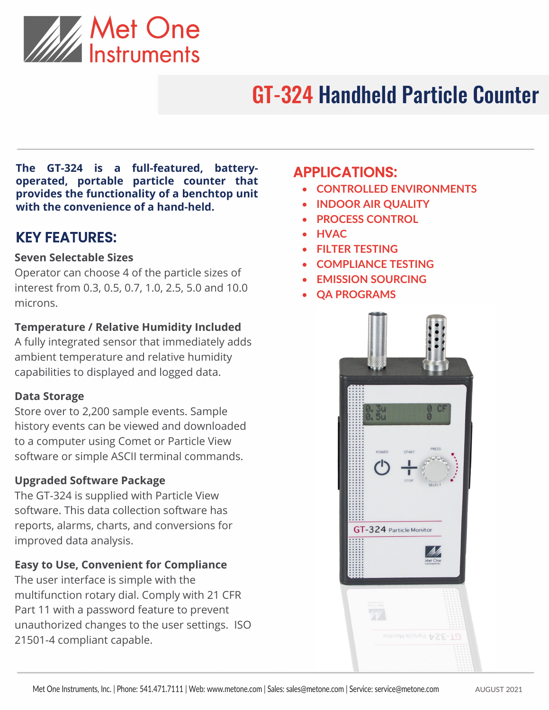

# GT-324 Handheld Particle Counter

**The GT-324 is a full-featured, batteryoperated, portable particle counter that provides the functionality of a benchtop unit with the convenience of a hand-held.**

## KEY FEATURES:

#### **Seven Selectable Sizes**

Operator can choose 4 of the particle sizes of interest from 0.3, 0.5, 0.7, 1.0, 2.5, 5.0 and 10.0 microns.

#### **Temperature / Relative Humidity Included**

A fully integrated sensor that immediately adds ambient temperature and relative humidity capabilities to displayed and logged data.

#### **Data Storage**

Store over to 2,200 sample events. Sample history events can be viewed and downloaded to a computer using Comet or Particle View software or simple ASCII terminal commands.

#### **Upgraded Software Package**

The GT-324 is supplied with Particle View software. This data collection software has reports, alarms, charts, and conversions for improved data analysis.

#### **Easy to Use, Convenient for Compliance**

The user interface is simple with the multifunction rotary dial. Comply with 21 CFR Part 11 with a password feature to prevent unauthorized changes to the user settings. ISO 21501-4 compliant capable.

## APPLICATIONS:

- **CONTROLLED ENVIRONMENTS**
- **INDOOR AIR QUALITY**
- **PROCESS CONTROL**
- **HVAC**
- **FILTER TESTING**
- **COMPLIANCE TESTING**
- **EMISSION SOURCING**
- **QA PROGRAMS**